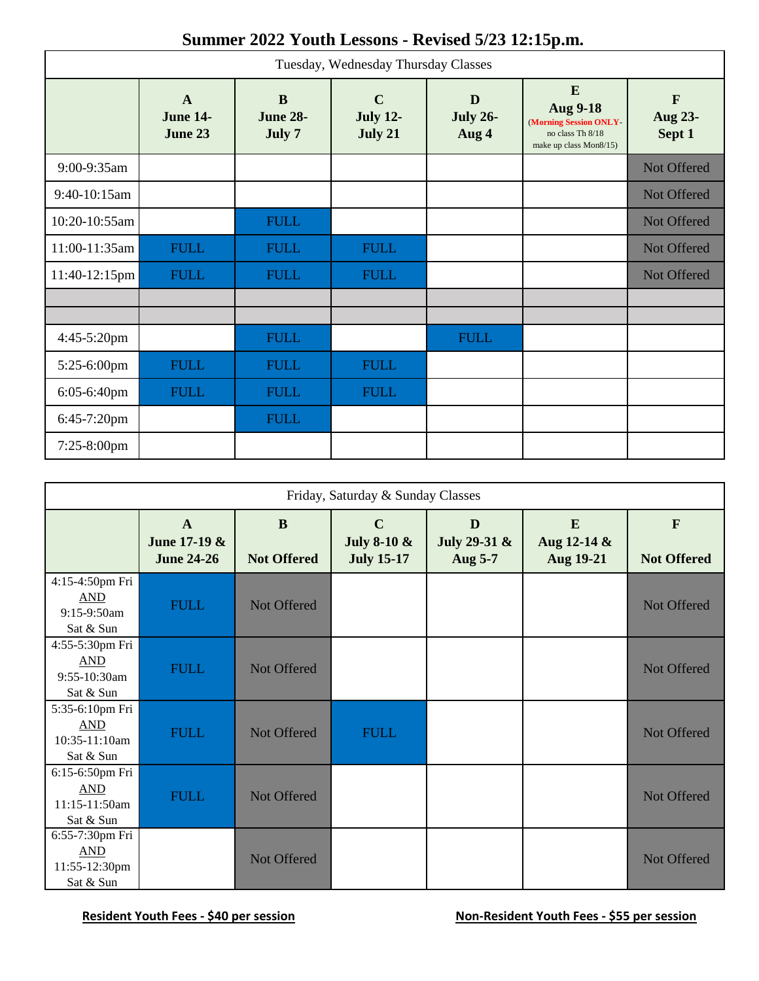## **Summer 2022 Youth Lessons - Revised 5/23 12:15p.m.**

| Tuesday, Wednesday Thursday Classes |                                            |                                       |                                           |                               |                                                                                              |                                   |  |  |
|-------------------------------------|--------------------------------------------|---------------------------------------|-------------------------------------------|-------------------------------|----------------------------------------------------------------------------------------------|-----------------------------------|--|--|
|                                     | $\mathbf{A}$<br><b>June 14-</b><br>June 23 | $\bf{B}$<br><b>June 28-</b><br>July 7 | $\mathbf C$<br><b>July 12-</b><br>July 21 | D<br><b>July 26-</b><br>Aug 4 | E<br><b>Aug 9-18</b><br>(Morning Session ONLY-<br>no class Th 8/18<br>make up class Mon8/15) | $\mathbf{F}$<br>Aug 23-<br>Sept 1 |  |  |
| 9:00-9:35am                         |                                            |                                       |                                           |                               |                                                                                              | Not Offered                       |  |  |
| 9:40-10:15am                        |                                            |                                       |                                           |                               |                                                                                              | Not Offered                       |  |  |
| 10:20-10:55am                       |                                            | <b>FULL</b>                           |                                           |                               |                                                                                              | Not Offered                       |  |  |
| 11:00-11:35am                       | <b>FULL</b>                                | <b>FULL</b>                           | <b>FULL</b>                               |                               |                                                                                              | Not Offered                       |  |  |
| $11:40-12:15$ pm                    | <b>FULL</b>                                | <b>FULL</b>                           | <b>FULL</b>                               |                               |                                                                                              | Not Offered                       |  |  |
|                                     |                                            |                                       |                                           |                               |                                                                                              |                                   |  |  |
| $4:45-5:20$ pm                      |                                            | <b>FULL</b>                           |                                           | <b>FULL</b>                   |                                                                                              |                                   |  |  |
| 5:25-6:00pm                         | <b>FULL</b>                                | <b>FULL</b>                           | <b>FULL</b>                               |                               |                                                                                              |                                   |  |  |
| 6:05-6:40pm                         | <b>FULL</b>                                | <b>FULL</b>                           | <b>FULL</b>                               |                               |                                                                                              |                                   |  |  |
| 6:45-7:20pm                         |                                            | <b>FULL</b>                           |                                           |                               |                                                                                              |                                   |  |  |
| $7:25-8:00$ pm                      |                                            |                                       |                                           |                               |                                                                                              |                                   |  |  |

| Friday, Saturday & Sunday Classes                           |                                                   |                                |                                                            |                              |                               |                                    |  |
|-------------------------------------------------------------|---------------------------------------------------|--------------------------------|------------------------------------------------------------|------------------------------|-------------------------------|------------------------------------|--|
|                                                             | $\mathbf{A}$<br>June 17-19 &<br><b>June 24-26</b> | $\bf{B}$<br><b>Not Offered</b> | $\mathbf C$<br><b>July 8-10 &amp;</b><br><b>July 15-17</b> | D<br>July 29-31 &<br>Aug 5-7 | E<br>Aug 12-14 &<br>Aug 19-21 | $\mathbf{F}$<br><b>Not Offered</b> |  |
| 4:15-4:50pm Fri<br><b>AND</b><br>$9:15-9:50am$<br>Sat & Sun | <b>FULL</b>                                       | Not Offered                    |                                                            |                              |                               | Not Offered                        |  |
| 4:55-5:30pm Fri<br><b>AND</b><br>9:55-10:30am<br>Sat & Sun  | <b>FULL</b>                                       | Not Offered                    |                                                            |                              |                               | Not Offered                        |  |
| 5:35-6:10pm Fri<br>AND<br>10:35-11:10am<br>Sat & Sun        | <b>FULL</b>                                       | Not Offered                    | <b>FULL</b>                                                |                              |                               | Not Offered                        |  |
| 6:15-6:50pm Fri<br><b>AND</b><br>11:15-11:50am<br>Sat & Sun | <b>FULL</b>                                       | Not Offered                    |                                                            |                              |                               | Not Offered                        |  |
| 6:55-7:30pm Fri<br>AND<br>11:55-12:30pm<br>Sat & Sun        |                                                   | Not Offered                    |                                                            |                              |                               | Not Offered                        |  |